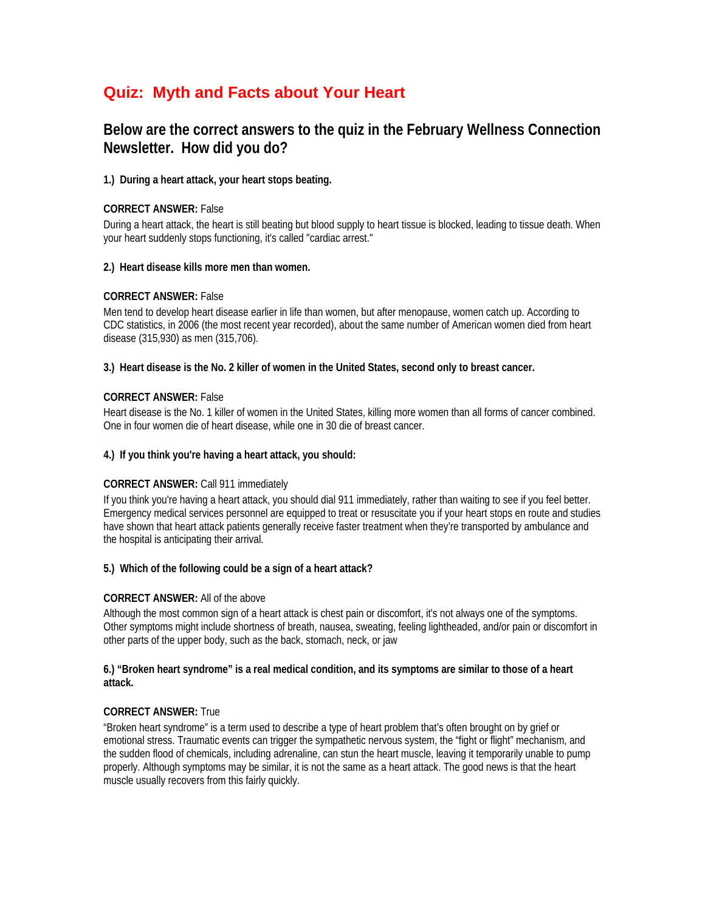# **Quiz: Myth and Facts about Your Heart**

# **Below are the correct answers to the quiz in the February Wellness Connection Newsletter. How did you do?**

# **1.) During a heart attack, your heart stops beating.**

# **CORRECT ANSWER:** False

During a heart attack, the heart is still beating but blood supply to heart tissue is blocked, leading to tissue death. When your heart suddenly stops functioning, it's called "cardiac arrest."

#### **2.) Heart disease kills more men than women.**

# **CORRECT ANSWER:** False

Men tend to develop heart disease earlier in life than women, but after menopause, women catch up. According to CDC statistics, in 2006 (the most recent year recorded), about the same number of American women died from heart disease (315,930) as men (315,706).

**3.) Heart disease is the No. 2 killer of women in the United States, second only to breast cancer.** 

# **CORRECT ANSWER:** False

Heart disease is the No. 1 killer of women in the United States, killing more women than all forms of cancer combined. One in four women die of heart disease, while one in 30 die of breast cancer.

#### **4.) If you think you're having a heart attack, you should:**

#### **CORRECT ANSWER:** Call 911 immediately

If you think you're having a heart attack, you should dial 911 immediately, rather than waiting to see if you feel better. Emergency medical services personnel are equipped to treat or resuscitate you if your heart stops en route and studies have shown that heart attack patients generally receive faster treatment when they're transported by ambulance and the hospital is anticipating their arrival.

#### **5.) Which of the following could be a sign of a heart attack?**

#### **CORRECT ANSWER:** All of the above

Although the most common sign of a heart attack is chest pain or discomfort, it's not always one of the symptoms. Other symptoms might include shortness of breath, nausea, sweating, feeling lightheaded, and/or pain or discomfort in other parts of the upper body, such as the back, stomach, neck, or jaw

#### **6.) "Broken heart syndrome" is a real medical condition, and its symptoms are similar to those of a heart attack.**

#### **CORRECT ANSWER:** True

"Broken heart syndrome" is a term used to describe a type of heart problem that's often brought on by grief or emotional stress. Traumatic events can trigger the sympathetic nervous system, the "fight or flight" mechanism, and the sudden flood of chemicals, including adrenaline, can stun the heart muscle, leaving it temporarily unable to pump properly. Although symptoms may be similar, it is not the same as a heart attack. The good news is that the heart muscle usually recovers from this fairly quickly.